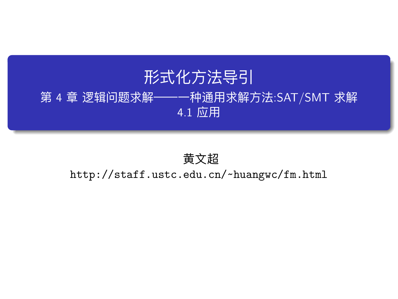# 形式化方法导引

第 4 章 逻辑问题求解——一种通用求解方法:SAT/SMT 求解

4.1 应用

黄文超 http://staff.ustc.edu.cn/~huangwc/fm.html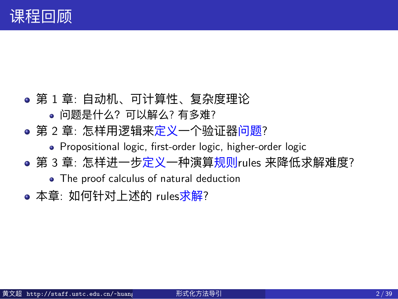# 课程回顾

- 第 1 章: 自动机、可计算性、复杂度理论
	- 问题是什么?可以解么? 有多难?
- 第 2 章: 怎样用逻辑来定义一个验证器问题?
	- Propositional logic, first-order logic, higher-order logic
- 第 3 章: 怎样进一步定义一种演算规则rules 来降低求解难度?
	- The proof calculus of natural deduction
- 本章: 如何针对上述的 rules求解?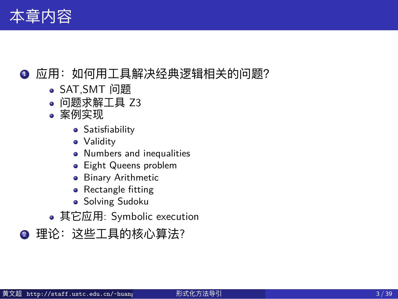## 本章内容

- 应用: 如何用工具解决经典逻辑相关的问题?
	- SAT,SMT 问题
	- 问题求解工具 Z3
	- 案例实现
		- **·** Satisfiability
		- **•** Validity
		- Numbers and inequalities
		- Eight Queens problem
		- **•** Binary Arithmetic
		- Rectangle fitting
		- **·** Solving Sudoku
	- 其它应用: Symbolic execution

● 理论: 这些工具的核心算法?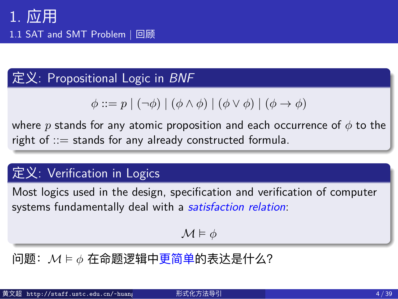1.1 SAT and SMT Problem | 回顾

# 定义: Propositional Logic in *BNF*

 $\phi ::= p \mid (\neg \phi) \mid (\phi \land \phi) \mid (\phi \lor \phi) \mid (\phi \to \phi)$ 

where *p* stands for any atomic proposition and each occurrence of *ϕ* to the right of ::= stands for any already constructed formula.

## 定义: Verification in Logics

Most logics used in the design, specification and verification of computer systems fundamentally deal with a *satisfaction relation*:

*M* ⊨ *ϕ*

问题:*M* ⊨ *ϕ* 在命题逻辑中更简单的表达是什么?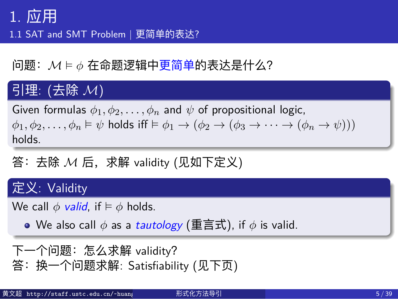1.1 SAT and SMT Problem | 更简单的表达?

问题:*M* ⊨ *ϕ* 在命题逻辑中更简单的表达是什么?

## 引理: (去除 *M*)

Given formulas  $\phi_1, \phi_2, \ldots, \phi_n$  and  $\psi$  of propositional logic,  $\phi_1, \phi_2, \ldots, \phi_n \models \psi$  holds iff  $\models \phi_1 \rightarrow (\phi_2 \rightarrow (\phi_3 \rightarrow \cdots \rightarrow (\phi_n \rightarrow \psi)))$ holds.

答:去除 *M* 后,求解 validity (见如下定义)

## 定义: Validity

We call  $\phi$  *valid*, if  $\models \phi$  holds.

We also call *ϕ* as a *tautology* (重言式), if *ϕ* is valid.

```
下一个问题:怎么求解 validity?
答:换一个问题求解: Satisfiability (见下页)
```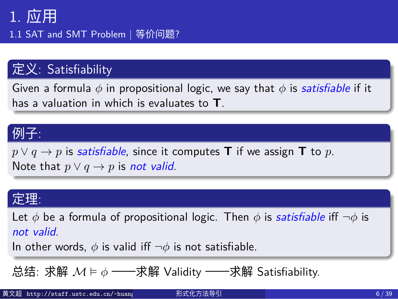1.1 SAT and SMT Problem | 等价问题?

#### 定义: Satisfiability

Given a formula *ϕ* in propositional logic, we say that *ϕ* is *satisfiable* if it has a valuation in which is evaluates to **T**.

### 例子:

 $p \lor q \rightarrow p$  is *satisfiable*, since it computes **T** if we assign **T** to *p*. Note that  $p \lor q \rightarrow p$  is *not valid*.

#### 定理:

Let *ϕ* be a formula of propositional logic. Then *ϕ* is *satisfiable* iff *¬ϕ* is *not valid*.

In other words,  $\phi$  is valid iff  $\neg \phi$  is not satisfiable.

总结: 求解 *M* ⊨ *ϕ* ——求解 Validity ——求解 Satisfiability.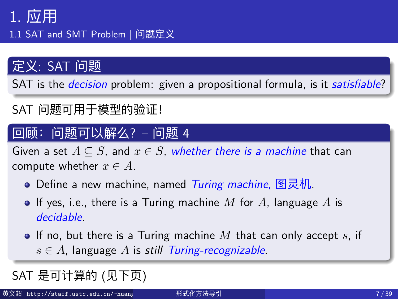1.1 SAT and SMT Problem | 问题定义

## 定义: SAT 问题

SAT is the *decision* problem: given a propositional formula, is it *satisfiable*?

SAT 问题可用于模型的验证!

### 回顾:问题可以解么? – 问题 4

Given a set  $A \subseteq S$ , and  $x \in S$ , whether there is a machine that can compute whether  $x \in A$ .

- Define a new machine, named *Turing machine,* 图灵机.
- $\bullet$  If yes, i.e., there is a Turing machine  $M$  for  $A$ , language  $A$  is *decidable*.
- If no, but there is a Turing machine *M* that can only accept *s*, if *s ∈ A*, language *A* is *still Turing-recognizable*.

SAT 是可计算的 (见下页)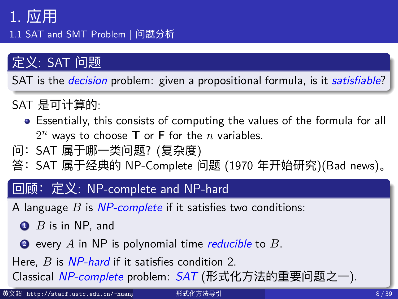1.1 SAT and SMT Problem | 问题分析

## 定义: SAT 问题

SAT is the *decision* problem: given a propositional formula, is it *satisfiable*?

#### SAT 是可计算的:

- Essentially, this consists of computing the values of the formula for all  $2^n$  ways to choose **T** or **F** for the *n* variables.
- 问:SAT 属于哪一类问题? (复杂度)
- 答:SAT 属于经典的 NP-Complete 问题 (1970 年开始研究)(Bad news)。

#### 回顾:定义: NP-complete and NP-hard

A language *B* is *NP-complete* if it satisfies two conditions:

- $\bullet$  *B* is in NP, and
- <sup>2</sup> every *A* in NP is polynomial time *reducible* to *B*.
- Here, *B* is *NP-hard* if it satisfies condition 2.

Classical *NP-complete* problem: *SAT* (形式化方法的重要问题之一).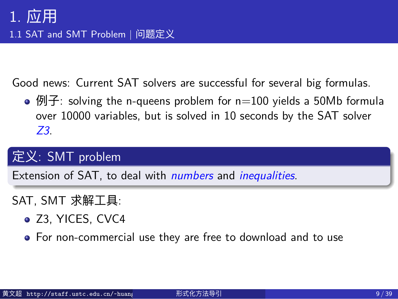## 1. 应用 1.1 SAT and SMT Problem | 问题定义

Good news: Current SAT solvers are successful for several big formulas.

•  $\mathfrak{H}$ : solving the n-queens problem for n=100 yields a 50Mb formula over 10000 variables, but is solved in 10 seconds by the SAT solver *Z3*.

## 定义: SMT problem

Extension of SAT, to deal with *numbers* and *inequalities*.

#### SAT, SMT 求解工具:

- $\bullet$  Z3, YICES, CVC4
- For non-commercial use they are free to download and to use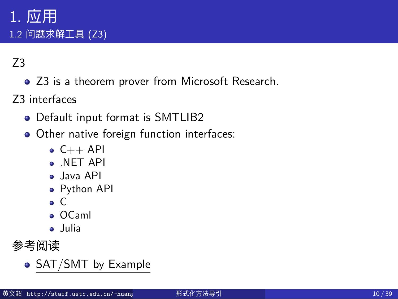## 1. 应用 1.2 问题求解工具 (Z3)

#### Z3

• Z3 is a theorem prover from Microsoft Research.

Z3 interfaces

- Default input format is SMTLIB2
- Other native foreign function interfaces:
	- $\bullet$  C++ API
	- .NET API
	- Java API
	- Python API
	- $\bullet$  C
	- OCaml
	- Julia

## 参考阅读

• SAT/SMT by Example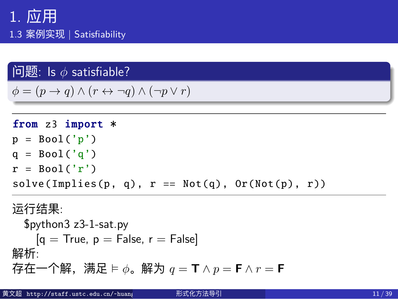## 1. 应用 1.3 案例实现 | Satisfiability

### 问题: Is *ϕ* satisfiable?

 $\phi$  =  $(p \rightarrow q) \land (r \leftrightarrow \neg q) \land (\neg p \lor r)$ 

from z3 import \*  $p = Bool('p')$  $q = Bool('q')$  $r = Bool('r')$  $solve(Implies(p, q), r == Not(q), Or(Not(p), r))$ 运行结果: \$python3 z3-1-sat.py  $[q = True, p = False, r = False]$ 解析: 存在一个解,满足 ⊨ *ϕ*。解为 *q* = **T** *∧ p* = **F** *∧ r* = **F**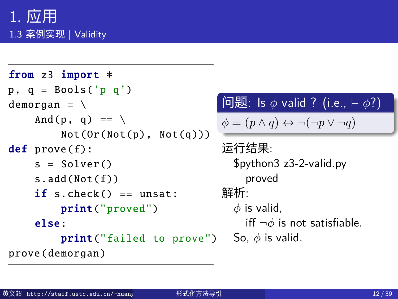## 1. 应用 1.3 案例实现 | Validity

```
from z3 import *
p, q = Books('p q')demorgan = \setminusAnd(p, q) == \setminusNot(Or(Not(p), Not(q)))
def prove(f):
    s = Solver ()
    s.add(Not(f))
    if s.check() == unsat:print("proved")
    else:
         print("failed to prove")
prove(demorgan )
```
## 问题: Is *ϕ* valid ? (i.e., ⊨ *ϕ*?)  $\phi = (p \land q) \leftrightarrow \neg(\neg p \lor \neg q)$ 运行结果: \$python3 z3-2-valid.py proved 解析: *ϕ* is valid,

iff *¬ϕ* is not satisfiable. So,  $\phi$  is valid.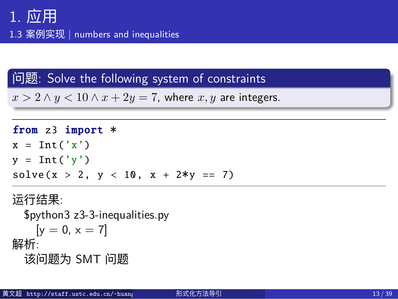1.3 案例实现 | numbers and inequalities

## 问题: Solve the following system of constraints

 $x > 2 \land y < 10 \land x + 2y = 7$ , where  $x, y$  are integers.

from z3 import \*  $x = Int('x')$  $y = Int('y')$  $solve(x > 2, y < 10, x + 2*y == 7)$ 运行结果:

\$python3 z3-3-inequalities.py  $[y = 0, x = 7]$ 解析: 该问题为 SMT 问题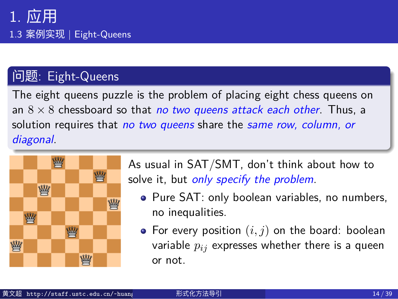## 问题: Eight-Queens

The eight queens puzzle is the problem of placing eight chess queens on an 8 *×* 8 chessboard so that *no two queens attack each other*. Thus, a solution requires that *no two queens* share the *same row, column, or diagonal*.



- As usual in SAT/SMT, don't think about how to solve it, but *only specify the problem*.
	- Pure SAT: only boolean variables, no numbers, no inequalities.
	- $\bullet$  For every position  $(i, j)$  on the board: boolean variable *pij* expresses whether there is a queen or not.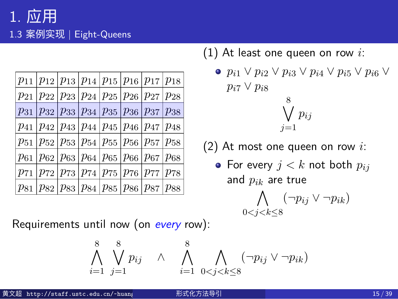| $p_{11} p_{12} p_{13} p_{14} p_{15} p_{16} p_{17} p_{18}$                             |  |  |  |
|---------------------------------------------------------------------------------------|--|--|--|
| $p_{21}$   $p_{22}$   $p_{23}$   $p_{24}$   $p_{25}$   $p_{26}$   $p_{27}$   $p_{28}$ |  |  |  |
| $p_{31}$   $p_{32}$   $p_{33}$   $p_{34}$   $p_{35}$   $p_{36}$   $p_{37}$   $p_{38}$ |  |  |  |
| $p_{41}$   $p_{42}$   $p_{43}$   $p_{44}$   $p_{45}$   $p_{46}$   $p_{47}$   $p_{48}$ |  |  |  |
| $p_{51}$   $p_{52}$   $p_{53}$   $p_{54}$   $p_{55}$   $p_{56}$   $p_{57}$   $p_{58}$ |  |  |  |
| $p_{61}$   $p_{62}$   $p_{63}$   $p_{64}$   $p_{65}$   $p_{66}$   $p_{67}$   $p_{68}$ |  |  |  |
| $p_{71}$   $p_{72}$   $p_{73}$   $p_{74}$   $p_{75}$   $p_{76}$   $p_{77}$   $p_{78}$ |  |  |  |
| $p_{81}$   $p_{82}$   $p_{83}$   $p_{84}$   $p_{85}$   $p_{86}$   $p_{87}$   $p_{88}$ |  |  |  |

Requirements until now (on *every* row):

(1) At least one queen on row *i*:

\n- $$
p_{i1} \lor p_{i2} \lor p_{i3} \lor p_{i4} \lor p_{i5} \lor p_{i6} \lor p_{i7} \lor p_{i8}
$$
\n- $8$
\n- $1 \circ$
\n

$$
\bigvee_{j=1} p_{ij}
$$

- (2) At most one queen on row *i*:
	- For every  $j < k$  not both  $p_{ij}$ and *pik* are true

$$
\bigwedge_{0 < j < k \leq 8} (\neg p_{ij} \lor \neg p_{ik})
$$

8

 $\sqrt{}$ 

$$
\bigvee_{j=1}^{8} p_{ij} \quad \wedge \quad \bigwedge_{i=1}^{8} \bigwedge_{0 < j < k \leq 8} (\neg p_{ij} \vee \neg p_{ik})
$$

黄文超 http://staff.ustc.edu.cn/~huang 形式化方法导引 15 / 39

 $\Lambda$ 8

*i*=1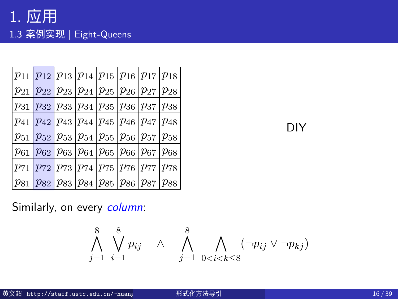|  |  | $p_{11}$ $p_{12}$ $p_{13}$ $p_{14}$ $p_{15}$ $p_{16}$ $p_{17}$ $p_{18}$               |  |  |
|--|--|---------------------------------------------------------------------------------------|--|--|
|  |  | $p_{21}$   $p_{22}$   $p_{23}$   $p_{24}$   $p_{25}$   $p_{26}$   $p_{27}$   $p_{28}$ |  |  |
|  |  | $p_{31}$   $p_{32}$   $p_{33}$   $p_{34}$   $p_{35}$   $p_{36}$   $p_{37}$   $p_{38}$ |  |  |
|  |  | $p_{41}$   $p_{42}$   $p_{43}$   $p_{44}$   $p_{45}$   $p_{46}$   $p_{47}$   $p_{48}$ |  |  |
|  |  | $p_{51}$   $p_{52}$   $p_{53}$   $p_{54}$   $p_{55}$   $p_{56}$   $p_{57}$   $p_{58}$ |  |  |
|  |  | $p_{61}$   $p_{62}$   $p_{63}$   $p_{64}$   $p_{65}$   $p_{66}$   $p_{67}$   $p_{68}$ |  |  |
|  |  | $p_{71}$   $p_{72}$   $p_{73}$   $p_{74}$   $p_{75}$   $p_{76}$   $p_{77}$   $p_{78}$ |  |  |
|  |  | $p_{81}$   $p_{82}$   $p_{83}$   $p_{84}$   $p_{85}$   $p_{86}$   $p_{87}$   $p_{88}$ |  |  |

Similarly, on every *column*:

 $\lambda^8$ *j*=1  $\frac{8}{1}$ *i*=1  $p_{ij}$  ∧  $\bigwedge^8$ *j*=1  $\Lambda$ 0*<i<k≤*8 (*¬pij ∨ ¬pkj* )

DIY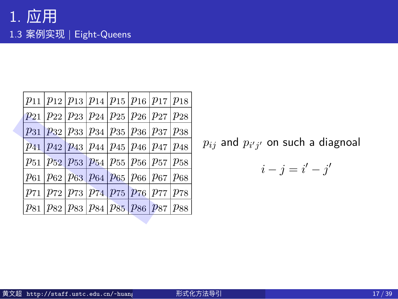|  |  | $p_{11} p_{12} p_{13} p_{14} p_{15} p_{16} p_{17} p_{18}$                             |  |  |
|--|--|---------------------------------------------------------------------------------------|--|--|
|  |  | $p_{21}$   $p_{22}$   $p_{23}$   $p_{24}$   $p_{25}$   $p_{26}$   $p_{27}$   $p_{28}$ |  |  |
|  |  | $p_{31}$   $p_{32}$   $p_{33}$   $p_{34}$   $p_{35}$   $p_{36}$   $p_{37}$   $p_{38}$ |  |  |
|  |  | $p_{41}$   $p_{42}$   $p_{43}$   $p_{44}$   $p_{45}$   $p_{46}$   $p_{47}$   $p_{48}$ |  |  |
|  |  | $p_{51}$   $p_{52}$   $p_{53}$   $p_{54}$   $p_{55}$   $p_{56}$   $p_{57}$   $p_{58}$ |  |  |
|  |  | $p_{61}$   $p_{62}$   $p_{63}$   $p_{64}$   $p_{65}$   $p_{66}$   $p_{67}$   $p_{68}$ |  |  |
|  |  | $p_{71}$   $p_{72}$   $p_{73}$   $p_{74}$   $p_{75}$   $p_{76}$   $p_{77}$   $p_{78}$ |  |  |
|  |  | $p_{81}$   $p_{82}$   $p_{83}$   $p_{84}$   $p_{85}$   $p_{86}$   $p_{87}$   $p_{88}$ |  |  |
|  |  |                                                                                       |  |  |

 $p_{ij}$  and  $p_{i^\prime j^\prime}$  on such a diagnoal

$$
i - j = i' - j'
$$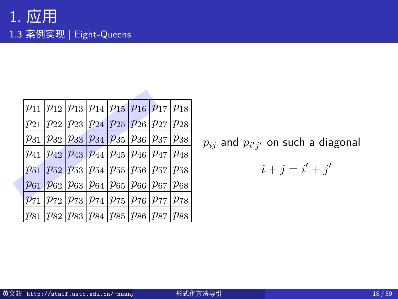| $p_{11} p_{12} p_{13} p_{14} p_{15} p_{16} p_{17} p_{18}$                                                                       |  |  |  |
|---------------------------------------------------------------------------------------------------------------------------------|--|--|--|
| $p_{21}$   $p_{22}$   $p_{23}$   $p_{24}$   $p_{25}$   $p_{26}$   $p_{27}$   $p_{28}$                                           |  |  |  |
| $p_{31}$   $p_{32}$   $p_{33}$   $p_{34}$   $p_{35}$   $p_{36}$   $p_{37}$   $p_{38}$                                           |  |  |  |
| $p_{41} p_{42} p_{43} p_{44} p_{45} p_{46} p_{47} p_{48}$                                                                       |  |  |  |
| $p_{51}$   $p_{52}$   $p_{53}$   $p_{54}$   $p_{55}$   $p_{56}$   $p_{57}$   $p_{58}$                                           |  |  |  |
| $p_{61}$   $p_{62}$   $p_{63}$   $p_{64}$   $p_{65}$   $p_{66}$   $p_{67}$   $p_{68}$                                           |  |  |  |
| $\frac{p_{71}}{p_{72}}$   $\frac{p_{73}}{p_{74}}$   $\frac{p_{75}}{p_{76}}$   $\frac{p_{77}}{p_{78}}$   $\frac{p_{78}}{p_{78}}$ |  |  |  |
| $p_{81}$   $p_{82}$   $p_{83}$   $p_{84}$   $p_{85}$   $p_{86}$   $p_{87}$   $p_{88}$                                           |  |  |  |

 $p_{ij}$  and  $p_{i^\prime j^\prime}$  on such a diagonal

$$
i+j=i'+j'
$$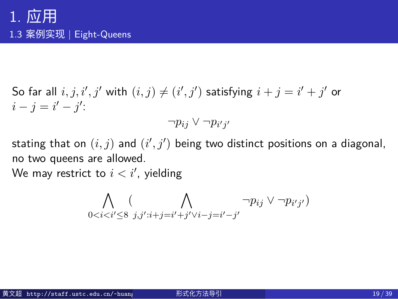$\mathsf{S}\mathsf{o}$  far all  $i,j,i',j'$  with  $(i,j) \neq (i',j')$  satisfying  $i+j = i'+j'$  or  $i - j = i' - j'$ :

$$
\neg p_{ij} \vee \neg p_{i'j'}
$$

stating that on  $(i,j)$  and  $(i',j')$  being two distinct positions on a diagonal, no two queens are allowed. We may restrict to  $i < i^\prime$ , yielding

$$
\bigwedge_{0
$$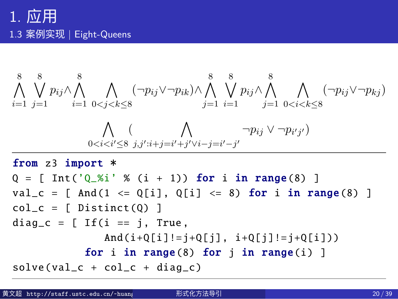$$
\begin{array}{ccccccccc}\n & 8 & 8 & & & \\
\bigwedge \bigvee \limits_{i=1}^{8} p_{ij} \wedge \bigwedge \limits_{j=1}^{8} & & & \\
\bigwedge \limits_{i=1}^{8} & & & \\
\bigwedge \limits_{j=1}^{8} & & & \\
\bigwedge \limits_{i=1}^{8} & & & \\
\bigwedge \limits_{i=1}^{8} & & & \\
\bigwedge \limits_{i=1}^{8} & & & \\
\bigwedge \limits_{i=1}^{8} & & & \\
\bigwedge \limits_{j=1}^{8} & & & \\
\bigwedge \limits_{j=1}^{8} & & & \\
\bigwedge \limits_{j=1}^{8} & & & \\
p_{ij} \wedge \bigwedge \limits_{j=1}^{8} & & \\
\bigwedge \limits_{j=1}^{8} & & & \\
\bigwedge \limits_{j=1}^{8} & & & \\
p_{ij} \vee \neg p_{ij} \vee \neg p_{ij} \vee \bigwedge \limits_{j=1}^{8} & \\
\bigwedge \limits_{j=1}^{8} & & & \\
\bigwedge \limits_{j=1}^{8} & & & \\
\bigwedge \limits_{j=1}^{8} & & & \\
\bigwedge \limits_{j=1}^{8} & & & \\
\bigwedge \limits_{j=1}^{8} & & & \\
p_{ij} \vee \neg p_{ij} \vee \neg p_{ij} \vee \bigwedge \limits_{j=1}^{8} & \\
\bigwedge \limits_{j=1}^{8} & & & \\
\bigwedge \limits_{j=1}^{8} & & & \\
p_{ij} \vee \neg p_{ij} \vee \neg p_{ij} \vee \bigwedge \limits_{j=1}^{8} & \\
\bigwedge \limits_{j=1}^{8} & & & \\
p_{ij} \vee \neg p_{ij} \vee \neg p_{kj} \vee \bigwedge \limits_{j=1}^{8} & \\
p_{ij} \vee \neg p_{ij} \vee \bigwedge \limits_{j=
$$

$$
diag_c = [If(i == j, True, \n And(i+Q[i] != j+Q[j], i+Q[j] != j+Q[i]))
$$
\n
$$
for i in range(8) for j in range(i)]
$$
\n
$$
solve(val_c + col_c + diag_c)
$$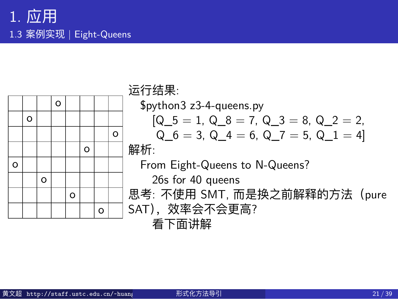

| $$$ python3 z3-4-queens.py                    |
|-----------------------------------------------|
| $[Q_5 = 1, Q_8 = 7, Q_3 = 8, Q_2 = 2,$        |
| $Q_6 = 3$ , $Q_4 = 6$ , $Q_7 = 5$ , $Q_1 = 4$ |
| 解析:                                           |
| From Eight-Queens to N-Queens?                |
| 26s for 40 queens                             |
| 思考: 不使用 SMT, 而是换之前解释的方法 (pure                 |
| SAT), 效率会不会更高?                                |
| 看下面讲解                                         |
|                                               |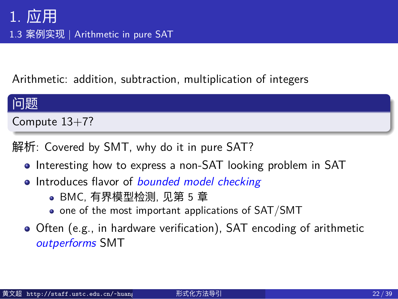## 1. 应用 1.3 案例实现 | Arithmetic in pure SAT

Arithmetic: addition, subtraction, multiplication of integers

## 问题

Compute 13+7?

解析: Covered by SMT, why do it in pure SAT?

- Interesting how to express a non-SAT looking problem in SAT
- Introduces flavor of *bounded model checking*
	- BMC, 有界模型检测, 见第 5 章
	- one of the most important applications of SAT/SMT
- Often (e.g., in hardware verification), SAT encoding of arithmetic *outperforms* SMT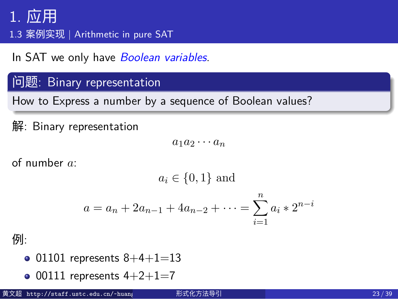1.3 案例实现 | Arithmetic in pure SAT

In SAT we only have *Boolean variables*.

## 问题: Binary representation

How to Express a number by a sequence of Boolean values?

解: Binary representation

 $a_1 a_2 \cdots a_n$ 

of number *a*:

*a<sup>i</sup> ∈ {*0*,* 1*}* and

$$
a = a_n + 2a_{n-1} + 4a_{n-2} + \dots = \sum_{i=1}^{n} a_i * 2^{n-i}
$$

例:

- 01101 represents  $8+4+1=13$
- $\bullet$  00111 represents 4+2+1=7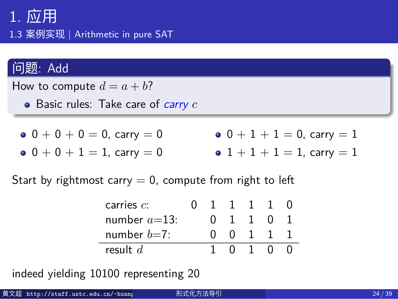1.3 案例实现 | Arithmetic in pure SAT

## 问题: Add

How to compute  $d = a + b$ ?

Basic rules: Take care of *carry c*

 $0 + 0 + 0 = 0$ , carry = 0  $0 + 0 + 1 = 1$ , carry = 0  $0 + 1 + 1 = 0$ , carry  $= 1$  $\bullet$  1 + 1 + 1 = 1, carry = 1

Start by rightmost carry  $= 0$ , compute from right to left

| carries $c$ :   |  | 1111                        |                |   |  |
|-----------------|--|-----------------------------|----------------|---|--|
| number $a=13$ : |  | $0 \quad 1 \quad 1 \quad 0$ |                |   |  |
| number $b=7$ :  |  |                             | $0 \t1 \t1$    |   |  |
| result $d$      |  |                             | 0 <sub>1</sub> | O |  |

indeed yielding 10100 representing 20

| 黄文超 http://staff.ustc.edu.cn/~huang<br>形式化方法导引 | 24 / 39 |  |  |  |  |
|------------------------------------------------|---------|--|--|--|--|
|------------------------------------------------|---------|--|--|--|--|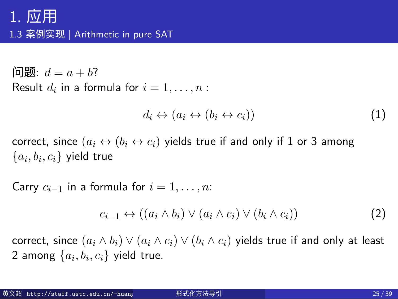## 1. 应用 1.3 案例实现 | Arithmetic in pure SAT

 $\Box$  *d* = *a* + *b*? Result  $d_i$  in a formula for  $i = 1, \ldots, n$ :

$$
d_i \leftrightarrow (a_i \leftrightarrow (b_i \leftrightarrow c_i)) \tag{1}
$$

correct, since  $(a_i \leftrightarrow (b_i \leftrightarrow c_i)$  yields true if and only if 1 or 3 among  $\{a_i, b_i, c_i\}$  yield true

Carry  $c_{i-1}$  in a formula for  $i = 1, \ldots, n$ :

$$
c_{i-1} \leftrightarrow ((a_i \wedge b_i) \vee (a_i \wedge c_i) \vee (b_i \wedge c_i))
$$
 (2)

correct, since  $(a_i \wedge b_i) \vee (a_i \wedge c_i) \vee (b_i \wedge c_i)$  yields true if and only at least 2 among  $\{a_i, b_i, c_i\}$  yield true.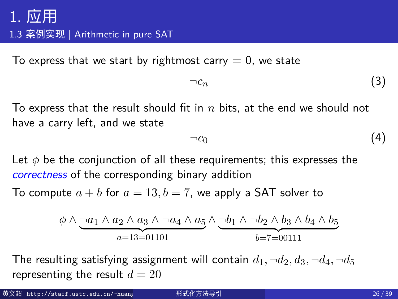1.3 案例实现 | Arithmetic in pure SAT

To express that we start by rightmost carry  $= 0$ , we state

$$
\neg c_n \tag{3}
$$

To express that the result should fit in *n* bits, at the end we should not have a carry left, and we state

$$
\neg c_0 \tag{4}
$$

Let *ϕ* be the conjunction of all these requirements; this expresses the *correctness* of the corresponding binary addition

To compute  $a + b$  for  $a = 13, b = 7$ , we apply a SAT solver to

$$
\phi \land \underbrace{\neg a_1 \land a_2 \land a_3 \land \neg a_4 \land a_5}_{a=13=01101} \land \underbrace{\neg b_1 \land \neg b_2 \land b_3 \land b_4 \land b_5}_{b=7=00111}
$$

The resulting satisfying assignment will contain  $d_1$ ,  $\neg d_2$ ,  $d_3$ ,  $\neg d_4$ ,  $\neg d_5$ representing the result  $d = 20$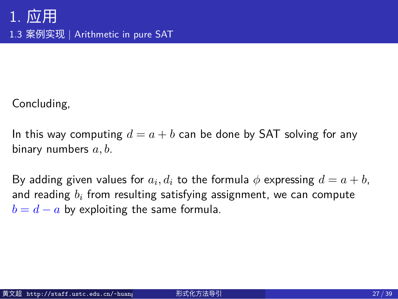## 1. 应用 1.3 案例实现 | Arithmetic in pure SAT

Concluding,

In this way computing  $d = a + b$  can be done by SAT solving for any binary numbers *a, b*.

By adding given values for  $a_i, d_i$  to the formula  $\phi$  expressing  $d = a + b,$ and reading *b<sup>i</sup>* from resulting satisfying assignment, we can compute  $b = d - a$  by exploiting the same formula.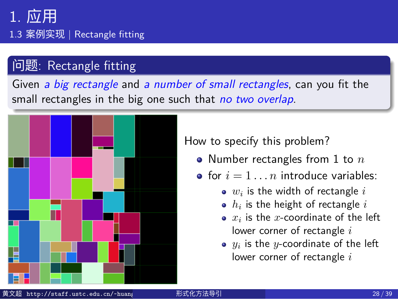1.3 案例实现 | Rectangle fitting

## 问题: Rectangle fitting

Given *a big rectangle* and *a number of small rectangles*, can you fit the small rectangles in the big one such that *no two overlap*.



How to specify this problem?

- Number rectangles from 1 to *n*
- for  $i = 1...n$  introduce variables:
	- $w_i$  is the width of rectangle  $i$
	- $h_i$  is the height of rectangle  $i$
	- $x_i$  is the  $x$ -coordinate of the left lower corner of rectangle *i*
	- $y_i$  is the  $y$ -coordinate of the left lower corner of rectangle *i*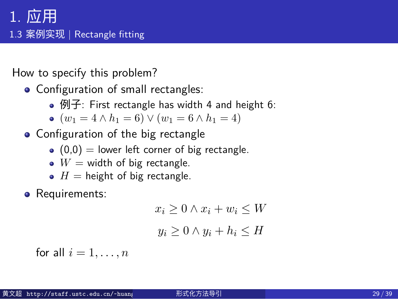## 1. 应用 1.3 案例实现 | Rectangle fitting

How to specify this problem?

- Configuration of small rectangles:
	- 例子: First rectangle has width 4 and height 6:
	- $\bullet$  (*w*<sub>1</sub> = 4 ∧ *h*<sub>1</sub> = 6)  $\vee$  (*w*<sub>1</sub> = 6 ∧ *h*<sub>1</sub> = 4)
- Configuration of the big rectangle
	- $(0,0)$  = lower left corner of big rectangle.
		- $W =$  width of big rectangle.
		- $H =$  height of big rectangle.
- **•** Requirements:

$$
x_i \ge 0 \land x_i + w_i \le W
$$

$$
y_i \ge 0 \land y_i + h_i \le H
$$

for all  $i = 1, \ldots, n$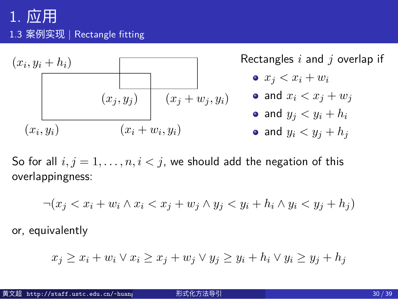## 1. 应用 1.3 案例实现 | Rectangle fitting



So for all  $i, j = 1, \ldots, n, i < j$ , we should add the negation of this overlappingness:

 $\neg(x_j < x_i + w_i \land x_i < x_j + w_j \land y_j < y_i + h_i \land y_i < y_j + h_j)\n$ 

or, equivalently

$$
x_j \ge x_i + w_i \lor x_i \ge x_j + w_j \lor y_j \ge y_i + h_i \lor y_i \ge y_j + h_j
$$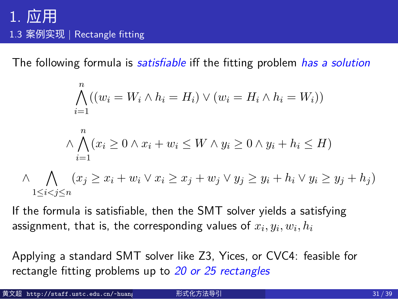## 1. 应用 1.3 案例实现 | Rectangle fitting

The following formula is *satisfiable* iff the fitting problem *has a solution*

$$
\bigwedge_{i=1}^{n} ((w_i = W_i \land h_i = H_i) \lor (w_i = H_i \land h_i = W_i))
$$
\n
$$
\land \bigwedge_{i=1}^{n} (x_i \ge 0 \land x_i + w_i \le W \land y_i \ge 0 \land y_i + h_i \le H)
$$
\n
$$
\land \bigwedge_{1 \le i < j \le n} (x_j \ge x_i + w_i \lor x_i \ge x_j + w_j \lor y_j \ge y_i + h_i \lor y_i \ge y_j + h_j)
$$

If the formula is satisfiable, then the SMT solver yields a satisfying assignment, that is, the corresponding values of  $x_i, y_i, w_i, h_i$ 

Applying a standard SMT solver like Z3, Yices, or CVC4: feasible for rectangle fitting problems up to *20 or 25 rectangles*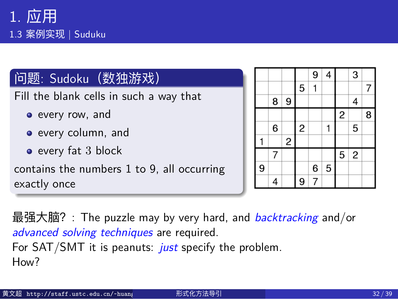### 问题: Sudoku(数独游戏)

Fill the blank cells in such a way that

- every row, and
- o every column, and
- every fat 3 block

contains the numbers 1 to 9, all occurring exactly once

|   |   |                         |                | 9              | 4 |                | 3        |   |
|---|---|-------------------------|----------------|----------------|---|----------------|----------|---|
|   |   |                         | 5              | 1              |   |                |          | 7 |
|   | 8 | 9                       |                |                |   |                | 4        |   |
|   |   |                         |                |                |   | $\overline{c}$ |          | 8 |
|   | 6 |                         | $\overline{c}$ |                |   |                | 5        |   |
|   |   | $\overline{\mathbf{c}}$ |                |                |   |                |          |   |
|   | 7 |                         |                |                |   | $\overline{5}$ | $\mid$ 2 |   |
| 9 |   |                         |                | 6              | 5 |                |          |   |
|   | 4 |                         | 9              | $\overline{7}$ |   |                |          |   |

最强大脑?: The puzzle may by very hard, and *backtracking* and/or *advanced solving techniques* are required.

For SAT/SMT it is peanuts: *just* specify the problem. How?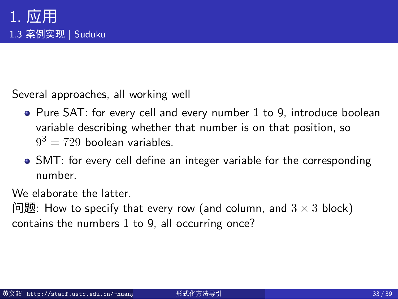Several approaches, all working well

- Pure SAT: for every cell and every number 1 to 9, introduce boolean variable describing whether that number is on that position, so  $9^3 = 729$  boolean variables.
- SMT: for every cell define an integer variable for the corresponding number.

We elaborate the latter.

问题: How to specify that every row (and column, and 3 *×* 3 block) contains the numbers 1 to 9, all occurring once?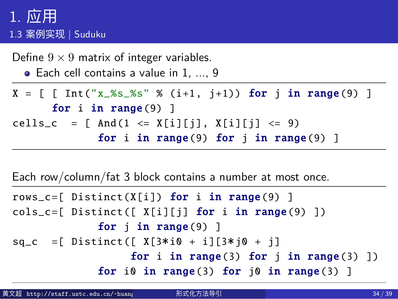Define 9 *×* 9 matrix of integer variables.

```
Each cell contains a value in 1, ..., 9
```

```
X = [ [ Int("x_%s_%s" % (i+1, j+1)) for j in range(9) ]
      for i in range(9) ]
cells_c = [ And(1 \le X[i][j], X[i][j] \le 9)for i in range(9) for j in range(9) ]
```

```
Each row/column/fat 3 block contains a number at most once.
```

```
rows_c=[ Distinct(X[i]) for i in range(9) ]
cols_c=[ Distinct([ X[i][j] for i in range(9) ])
             for j in range(9) ]
sq_c =[ Distinct ([ X[3*
i0 + i][3*
j0 + j]
                  for i in range(3) for j in range(3) ])
             for i0 in range(3) for j0 in range(3) ]
```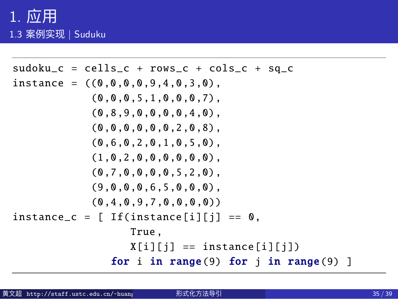```
sudoku_c = cells_c + rows_c + cols_c + sq_c
instance = ((0,0,0,0,0,4,0,3,0),(0,0,0,5,1,0,0,0,7),
            (0,8,9,0,0,0,0,4,0),
            (0, 0, 0, 0, 0, 0, 2, 0, 8),
            (0,6,0,2,0,1,0,5,0),
            (1,0,2,0,0,0,0,0,0),
            (0,7,0,0,0,0,5,2,0),
            (9,0,0,0,6,5,0,0,0),
            (0,4,0,9,7,0,0,0,0))
instance_c = [If(instance[i][j] == 0,True ,
                  X[i][j] == instance[i][j])for i in range(9) for j in range(9) ]
```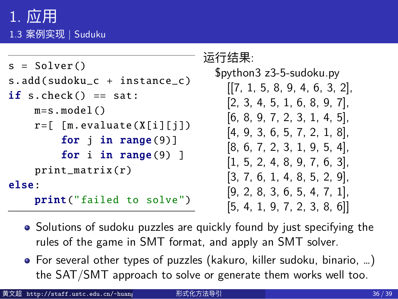#### 运行结果:

```
s = Solver ()
s.add(sudoku_c + instance_c )
if s.check() == sat:m=s.model ()
    r=[ [m.evaluate (X[i][j])
        for j in range(9)]
        for i in range(9) ]
    print_matrix (r)
else:
    print("failed to solve")
```

| \$python3 z3-5-sudoku.py      |  |  |  |  |  |  |
|-------------------------------|--|--|--|--|--|--|
| [[7, 1, 5, 8, 9, 4, 6, 3, 2], |  |  |  |  |  |  |
| [2, 3, 4, 5, 1, 6, 8, 9, 7],  |  |  |  |  |  |  |
| [6, 8, 9, 7, 2, 3, 1, 4, 5],  |  |  |  |  |  |  |
| [4, 9, 3, 6, 5, 7, 2, 1, 8],  |  |  |  |  |  |  |
| [8, 6, 7, 2, 3, 1, 9, 5, 4]   |  |  |  |  |  |  |
| [1, 5, 2, 4, 8, 9, 7, 6, 3],  |  |  |  |  |  |  |
| [3, 7, 6, 1, 4, 8, 5, 2, 9],  |  |  |  |  |  |  |
| [9, 2, 8, 3, 6, 5, 4, 7, 1],  |  |  |  |  |  |  |
| [5, 4, 1, 9, 7, 2, 3, 8, 6]   |  |  |  |  |  |  |

- Solutions of sudoku puzzles are quickly found by just specifying the rules of the game in SMT format, and apply an SMT solver.
- For several other types of puzzles (kakuro, killer sudoku, binario, …) the SAT/SMT approach to solve or generate them works well too.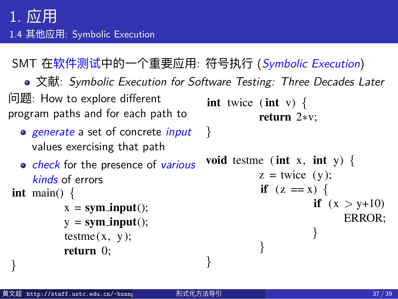#### $1.$  应用  $2.2$ </sup> 1.4 其他应用: Symbolic Execution 3 *}*

1 int twice (int v) *{*

SMT 在软件测试中的一个重要应用: 符号执行 (*Symbolic Execution*) 5 void testme (int x, int y) *{* SMT 在软件测试中的一

● 文献: *Symbolic Execution for Software Testing: Three Decades Later*  $t$ 

| 问题: How to explore different<br>program paths and for each path to                                                                                                     | <b>int</b> twice ( <b>int</b> v) {<br>return $2*v$ ;                                                |
|------------------------------------------------------------------------------------------------------------------------------------------------------------------------|-----------------------------------------------------------------------------------------------------|
| o generate a set of concrete <i>input</i><br>values exercising that path                                                                                               |                                                                                                     |
| • check for the presence of various<br>kinds of errors<br><b>int</b> main() $\{$<br>$x = sym input();$<br>$y = sym input();$<br>$\text{testme}(x, y);$<br>return $0$ ; | void testme (int x, int y) {<br>$z =$ twice $(y)$ ;<br>if $(z == x)$ {<br>if $(x > y+10)$<br>ERROR; |

黄文超 http://staff.ustc.edu.cn/~huang 形式化方法导引 37 / 39 14 */*⇤ *simple driver exercising testme () with sym inputs* ⇤*/*

path constraint *P C*<sup>0</sup> is created and initialized to *P C* ^*¬*(*e*)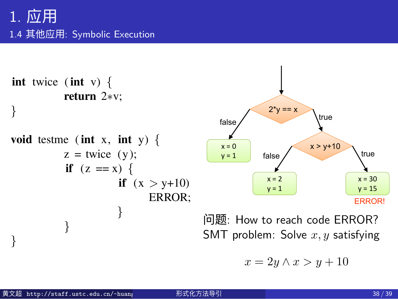## 1. 应用 1.4 其他应用: Symbolic Execution



```
14 /⇤ simple driver exercising testme () with sym inputs ⇤/
                                 x = 2y \wedge x > y + 10
```